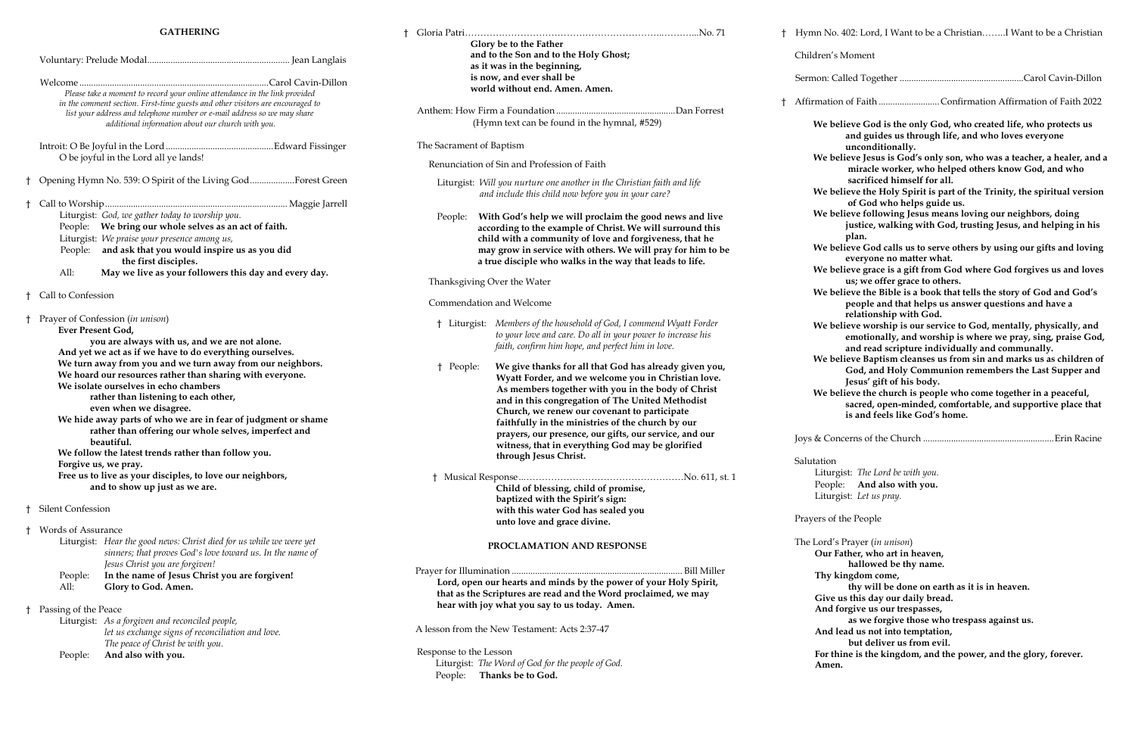## **GATHERING**

|              | Please take a moment to record your online attendance in the link provided<br>in the comment section. First-time guests and other visitors are encouraged to<br>list your address and telephone number or e-mail address so we may share                                                                                                                                                                                                                                                                                                                                                                                                                                                                                      |                                                                                                                                                                                                                                                                                           |   |  |  |  |
|--------------|-------------------------------------------------------------------------------------------------------------------------------------------------------------------------------------------------------------------------------------------------------------------------------------------------------------------------------------------------------------------------------------------------------------------------------------------------------------------------------------------------------------------------------------------------------------------------------------------------------------------------------------------------------------------------------------------------------------------------------|-------------------------------------------------------------------------------------------------------------------------------------------------------------------------------------------------------------------------------------------------------------------------------------------|---|--|--|--|
|              |                                                                                                                                                                                                                                                                                                                                                                                                                                                                                                                                                                                                                                                                                                                               | O be joyful in the Lord all ye lands!                                                                                                                                                                                                                                                     |   |  |  |  |
| Ť            |                                                                                                                                                                                                                                                                                                                                                                                                                                                                                                                                                                                                                                                                                                                               | Opening Hymn No. 539: O Spirit of the Living GodForest Green                                                                                                                                                                                                                              |   |  |  |  |
| $^{\dagger}$ | People:<br>All:                                                                                                                                                                                                                                                                                                                                                                                                                                                                                                                                                                                                                                                                                                               | Liturgist: God, we gather today to worship you.<br>People: We bring our whole selves as an act of faith.<br>Liturgist: We praise your presence among us,<br>and ask that you would inspire us as you did<br>the first disciples.<br>May we live as your followers this day and every day. |   |  |  |  |
| Ť.           | Call to Confession                                                                                                                                                                                                                                                                                                                                                                                                                                                                                                                                                                                                                                                                                                            |                                                                                                                                                                                                                                                                                           |   |  |  |  |
| $\ddagger$   | Prayer of Confession (in unison)<br>Ever Present God,<br>you are always with us, and we are not alone.<br>And yet we act as if we have to do everything ourselves.<br>We turn away from you and we turn away from our neighbors.<br>We hoard our resources rather than sharing with everyone.<br>We isolate ourselves in echo chambers<br>rather than listening to each other,<br>even when we disagree.<br>We hide away parts of who we are in fear of judgment or shame<br>rather than offering our whole selves, imperfect and<br>beautiful.<br>We follow the latest trends rather than follow you.<br>Forgive us, we pray.<br>Free us to live as your disciples, to love our neighbors,<br>and to show up just as we are. |                                                                                                                                                                                                                                                                                           |   |  |  |  |
| Ť            | <b>Silent Confession</b>                                                                                                                                                                                                                                                                                                                                                                                                                                                                                                                                                                                                                                                                                                      |                                                                                                                                                                                                                                                                                           |   |  |  |  |
| ŧ            | <b>Words of Assurance</b><br>People:<br>All:                                                                                                                                                                                                                                                                                                                                                                                                                                                                                                                                                                                                                                                                                  | Liturgist: Hear the good news: Christ died for us while we were yet<br>sinners; that proves God's love toward us. In the name of<br>Jesus Christ you are forgiven!<br>In the name of Jesus Christ you are forgiven!<br>Glory to God. Amen.                                                | F |  |  |  |
| Ť.           | Passing of the Peace<br>People:                                                                                                                                                                                                                                                                                                                                                                                                                                                                                                                                                                                                                                                                                               | Liturgist: As a forgiven and reconciled people,<br>let us exchange signs of reconciliation and love.<br>The peace of Christ be with you.<br>And also with you.                                                                                                                            |   |  |  |  |

|                                                                                   | Glory be to the Father<br>and to the Son and to the Holy Ghost;<br>as it was in the beginning, |                                                                                                                                                                                        |  | <sup>†</sup> Hymn No. 402: Lord, I Want to be a ChristianI Want to be a Christian<br>Children's Moment                                                                                                          |
|-----------------------------------------------------------------------------------|------------------------------------------------------------------------------------------------|----------------------------------------------------------------------------------------------------------------------------------------------------------------------------------------|--|-----------------------------------------------------------------------------------------------------------------------------------------------------------------------------------------------------------------|
|                                                                                   |                                                                                                |                                                                                                                                                                                        |  |                                                                                                                                                                                                                 |
|                                                                                   |                                                                                                | is now, and ever shall be<br>world without end. Amen. Amen.                                                                                                                            |  |                                                                                                                                                                                                                 |
|                                                                                   |                                                                                                |                                                                                                                                                                                        |  | Affirmation of Faith Confirmation Affirmation of Faith 2022                                                                                                                                                     |
|                                                                                   | (Hymn text can be found in the hymnal, #529)                                                   |                                                                                                                                                                                        |  |                                                                                                                                                                                                                 |
|                                                                                   | The Sacrament of Baptism                                                                       |                                                                                                                                                                                        |  | We believe God is the only God, who created life, who protects us<br>and guides us through life, and who loves everyone<br>unconditionally.                                                                     |
|                                                                                   |                                                                                                |                                                                                                                                                                                        |  | We believe Jesus is God's only son, who was a teacher, a healer, and a                                                                                                                                          |
|                                                                                   | Renunciation of Sin and Profession of Faith                                                    |                                                                                                                                                                                        |  | miracle worker, who helped others know God, and who                                                                                                                                                             |
|                                                                                   |                                                                                                | Liturgist: Will you nurture one another in the Christian faith and life<br>and include this child now before you in your care?                                                         |  | sacrificed himself for all.<br>We believe the Holy Spirit is part of the Trinity, the spiritual version<br>of God who helps guide us.                                                                           |
|                                                                                   | People:                                                                                        | With God's help we will proclaim the good news and live<br>according to the example of Christ. We will surround this<br>child with a community of love and forgiveness, that he        |  | We believe following Jesus means loving our neighbors, doing<br>justice, walking with God, trusting Jesus, and helping in his<br>plan.<br>We believe God calls us to serve others by using our gifts and loving |
|                                                                                   |                                                                                                | may grow in service with others. We will pray for him to be<br>a true disciple who walks in the way that leads to life.                                                                |  | everyone no matter what.                                                                                                                                                                                        |
|                                                                                   | Thanksgiving Over the Water                                                                    |                                                                                                                                                                                        |  | We believe grace is a gift from God where God forgives us and loves<br>us; we offer grace to others.                                                                                                            |
|                                                                                   | Commendation and Welcome                                                                       |                                                                                                                                                                                        |  | We believe the Bible is a book that tells the story of God and God's<br>people and that helps us answer questions and have a<br>relationship with God.                                                          |
|                                                                                   |                                                                                                | Liturgist: Members of the household of God, I commend Wyatt Forder<br>to your love and care. Do all in your power to increase his<br>faith, confirm him hope, and perfect him in love. |  | We believe worship is our service to God, mentally, physically, and<br>emotionally, and worship is where we pray, sing, praise God,<br>and read scripture individually and communally.                          |
|                                                                                   | † People:                                                                                      | We give thanks for all that God has already given you,<br>Wyatt Forder, and we welcome you in Christian love.<br>As members together with you in the body of Christ                    |  | We believe Baptism cleanses us from sin and marks us as children of<br>God, and Holy Communion remembers the Last Supper and<br>Jesus' gift of his body.                                                        |
|                                                                                   |                                                                                                | and in this congregation of The United Methodist<br>Church, we renew our covenant to participate<br>faithfully in the ministries of the church by our                                  |  | We believe the church is people who come together in a peaceful,<br>sacred, open-minded, comfortable, and supportive place that<br>is and feels like God's home.                                                |
|                                                                                   |                                                                                                | prayers, our presence, our gifts, our service, and our<br>witness, that in everything God may be glorified<br>through Jesus Christ.                                                    |  |                                                                                                                                                                                                                 |
|                                                                                   |                                                                                                |                                                                                                                                                                                        |  | Salutation                                                                                                                                                                                                      |
|                                                                                   |                                                                                                |                                                                                                                                                                                        |  | Liturgist: The Lord be with you.                                                                                                                                                                                |
|                                                                                   |                                                                                                | Child of blessing, child of promise,                                                                                                                                                   |  | People: And also with you.                                                                                                                                                                                      |
|                                                                                   |                                                                                                | baptized with the Spirit's sign:                                                                                                                                                       |  | Liturgist: Let us pray.                                                                                                                                                                                         |
| with this water God has sealed you<br>unto love and grace divine.                 |                                                                                                |                                                                                                                                                                                        |  | Prayers of the People                                                                                                                                                                                           |
|                                                                                   |                                                                                                |                                                                                                                                                                                        |  | The Lord's Prayer (in unison)                                                                                                                                                                                   |
| PROCLAMATION AND RESPONSE                                                         |                                                                                                |                                                                                                                                                                                        |  | Our Father, who art in heaven,                                                                                                                                                                                  |
|                                                                                   |                                                                                                |                                                                                                                                                                                        |  | hallowed be thy name.                                                                                                                                                                                           |
|                                                                                   |                                                                                                | Lord, open our hearts and minds by the power of your Holy Spirit,                                                                                                                      |  | Thy kingdom come,                                                                                                                                                                                               |
|                                                                                   | that as the Scriptures are read and the Word proclaimed, we may                                |                                                                                                                                                                                        |  | thy will be done on earth as it is in heaven.                                                                                                                                                                   |
| hear with joy what you say to us today. Amen.                                     |                                                                                                |                                                                                                                                                                                        |  | Give us this day our daily bread.<br>And forgive us our trespasses,                                                                                                                                             |
|                                                                                   |                                                                                                |                                                                                                                                                                                        |  | as we forgive those who trespass against us.                                                                                                                                                                    |
| A lesson from the New Testament: Acts 2:37-47                                     |                                                                                                |                                                                                                                                                                                        |  | And lead us not into temptation,<br>but deliver us from evil.                                                                                                                                                   |
|                                                                                   | Response to the Lesson                                                                         |                                                                                                                                                                                        |  | For thine is the kingdom, and the power, and the glory, forever.                                                                                                                                                |
| Liturgist: The Word of God for the people of God.<br>Thanks be to God.<br>People: |                                                                                                |                                                                                                                                                                                        |  | Amen.                                                                                                                                                                                                           |

- 
- 
- 
- 
- 
- 
- 
- **emotionally, and worship is where we pray, sing, praise God,**
- 
- 
- 

- 
-